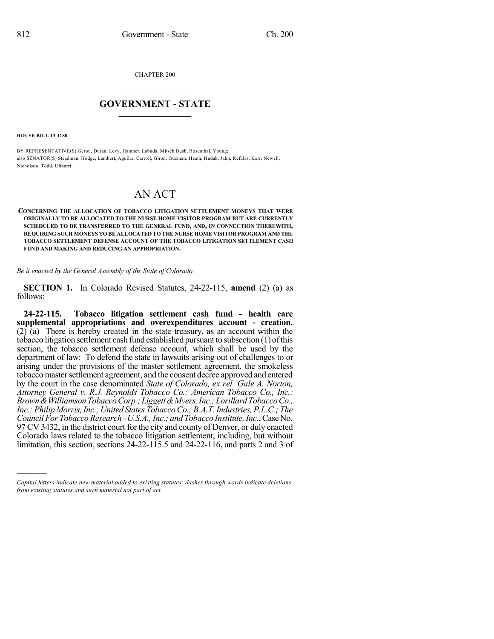CHAPTER 200

## $\mathcal{L}_\text{max}$  . The set of the set of the set of the set of the set of the set of the set of the set of the set of the set of the set of the set of the set of the set of the set of the set of the set of the set of the set **GOVERNMENT - STATE**  $\_$   $\_$   $\_$   $\_$   $\_$   $\_$   $\_$   $\_$   $\_$

**HOUSE BILL 13-1180**

)))))

BY REPRESENTATIVE(S) Gerou, Duran, Levy, Hamner, Labuda, Mitsch Bush, Rosenthal, Young; also SENATOR(S) Steadman, Hodge, Lambert, Aguilar, Carroll, Giron, Guzman, Heath, Hudak, Jahn, Kefalas, Kerr, Newell, Nicholson, Todd, Ulibarri.

## AN ACT

**CONCERNING THE ALLOCATION OF TOBACCO LITIGATION SETTLEMENT MONEYS THAT WERE ORIGINALLY TO BE ALLOCATED TO THE NURSE HOME VISITOR PROGRAM BUT ARE CURRENTLY SCHEDULED TO BE TRANSFERRED TO THE GENERAL FUND, AND, IN CONNECTION THEREWITH, REQUIRING SUCH MONEYS TO BE ALLOCATED TO THE NURSE HOME VISITOR PROGRAM AND THE TOBACCO SETTLEMENT DEFENSE ACCOUNT OF THE TOBACCO LITIGATION SETTLEMENT CASH FUND AND MAKING AND REDUCING AN APPROPRIATION.**

*Be it enacted by the General Assembly of the State of Colorado:*

**SECTION 1.** In Colorado Revised Statutes, 24-22-115, **amend** (2) (a) as follows:

**24-22-115. Tobacco litigation settlement cash fund - health care supplemental appropriations and overexpenditures account - creation.** (2) (a) There is hereby created in the state treasury, as an account within the tobacco litigation settlement cash fund established pursuant to subsection (1) ofthis section, the tobacco settlement defense account, which shall be used by the department of law: To defend the state in lawsuits arising out of challenges to or arising under the provisions of the master settlement agreement, the smokeless tobacco master settlement agreement, and the consent decree approved and entered by the court in the case denominated *State of Colorado, ex rel. Gale A. Norton, Attorney General v. R.J. Reynolds Tobacco Co.; American Tobacco Co., Inc.; Brown&WilliamsonTobaccoCorp.;Liggett&Myers,Inc.;LorillardTobaccoCo., Inc.;Philip Morris,Inc.;United States TobaccoCo.;B.A.T.Industries,P.L.C.; The Council For Tobacco Research--U.S.A., Inc.; and Tobacco Institute, Inc., Case No.* 97 CV 3432, in the district court for the city and county of Denver, or duly enacted Colorado laws related to the tobacco litigation settlement, including, but without limitation, this section, sections 24-22-115.5 and 24-22-116, and parts 2 and 3 of

*Capital letters indicate new material added to existing statutes; dashes through words indicate deletions from existing statutes and such material not part of act.*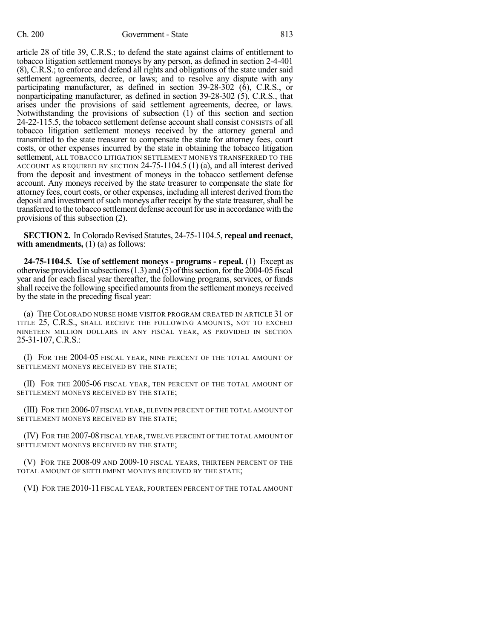article 28 of title 39, C.R.S.; to defend the state against claims of entitlement to tobacco litigation settlement moneys by any person, as defined in section 2-4-401 (8), C.R.S.; to enforce and defend all rights and obligations of the state under said settlement agreements, decree, or laws; and to resolve any dispute with any participating manufacturer, as defined in section 39-28-302 (6), C.R.S., or nonparticipating manufacturer, as defined in section 39-28-302 (5), C.R.S., that arises under the provisions of said settlement agreements, decree, or laws. Notwithstanding the provisions of subsection (1) of this section and section 24-22-115.5, the tobacco settlement defense account shall consist CONSISTS of all tobacco litigation settlement moneys received by the attorney general and transmitted to the state treasurer to compensate the state for attorney fees, court costs, or other expenses incurred by the state in obtaining the tobacco litigation settlement, ALL TOBACCO LITIGATION SETTLEMENT MONEYS TRANSFERRED TO THE ACCOUNT AS REQUIRED BY SECTION 24-75-1104.5 (1) (a), and all interest derived from the deposit and investment of moneys in the tobacco settlement defense account. Any moneys received by the state treasurer to compensate the state for attorney fees, court costs, or other expenses, including all interest derived from the deposit and investment of such moneys after receipt by the state treasurer, shall be transferred to the tobacco settlement defense account for use in accordance with the provisions of this subsection (2).

**SECTION 2.** In Colorado Revised Statutes, 24-75-1104.5, repeal and reenact, **with amendments,** (1) (a) as follows:

**24-75-1104.5. Use of settlement moneys - programs - repeal.** (1) Except as otherwise provided in subsections  $(1.3)$  and  $(5)$  of this section, for the 2004-05 fiscal year and for each fiscal year thereafter, the following programs, services, or funds shall receive the following specified amounts from the settlement moneys received by the state in the preceding fiscal year:

(a) THE COLORADO NURSE HOME VISITOR PROGRAM CREATED IN ARTICLE 31 OF TITLE 25, C.R.S., SHALL RECEIVE THE FOLLOWING AMOUNTS, NOT TO EXCEED NINETEEN MILLION DOLLARS IN ANY FISCAL YEAR, AS PROVIDED IN SECTION 25-31-107, C.R.S.:

(I) FOR THE 2004-05 FISCAL YEAR, NINE PERCENT OF THE TOTAL AMOUNT OF SETTLEMENT MONEYS RECEIVED BY THE STATE;

(II) FOR THE 2005-06 FISCAL YEAR, TEN PERCENT OF THE TOTAL AMOUNT OF SETTLEMENT MONEYS RECEIVED BY THE STATE;

(III) FOR THE 2006-07 FISCAL YEAR, ELEVEN PERCENT OF THE TOTAL AMOUNT OF SETTLEMENT MONEYS RECEIVED BY THE STATE;

(IV) FOR THE 2007-08 FISCAL YEAR, TWELVE PERCENT OF THE TOTAL AMOUNT OF SETTLEMENT MONEYS RECEIVED BY THE STATE;

(V) FOR THE 2008-09 AND 2009-10 FISCAL YEARS, THIRTEEN PERCENT OF THE TOTAL AMOUNT OF SETTLEMENT MONEYS RECEIVED BY THE STATE;

(VI) FOR THE 2010-11 FISCAL YEAR, FOURTEEN PERCENT OF THE TOTAL AMOUNT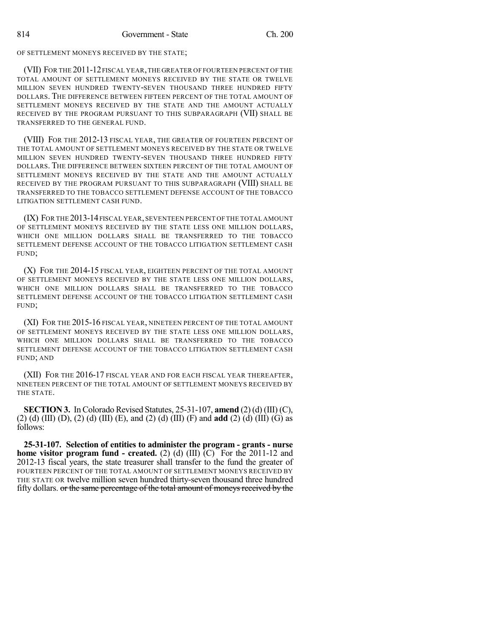OF SETTLEMENT MONEYS RECEIVED BY THE STATE;

(VII) FOR THE 2011-12FISCAL YEAR,THE GREATER OF FOURTEEN PERCENT OF THE TOTAL AMOUNT OF SETTLEMENT MONEYS RECEIVED BY THE STATE OR TWELVE MILLION SEVEN HUNDRED TWENTY-SEVEN THOUSAND THREE HUNDRED FIFTY DOLLARS. THE DIFFERENCE BETWEEN FIFTEEN PERCENT OF THE TOTAL AMOUNT OF SETTLEMENT MONEYS RECEIVED BY THE STATE AND THE AMOUNT ACTUALLY RECEIVED BY THE PROGRAM PURSUANT TO THIS SUBPARAGRAPH (VII) SHALL BE TRANSFERRED TO THE GENERAL FUND.

(VIII) FOR THE 2012-13 FISCAL YEAR, THE GREATER OF FOURTEEN PERCENT OF THE TOTAL AMOUNT OF SETTLEMENT MONEYS RECEIVED BY THE STATE OR TWELVE MILLION SEVEN HUNDRED TWENTY-SEVEN THOUSAND THREE HUNDRED FIFTY DOLLARS. THE DIFFERENCE BETWEEN SIXTEEN PERCENT OF THE TOTAL AMOUNT OF SETTLEMENT MONEYS RECEIVED BY THE STATE AND THE AMOUNT ACTUALLY RECEIVED BY THE PROGRAM PURSUANT TO THIS SUBPARAGRAPH (VIII) SHALL BE TRANSFERRED TO THE TOBACCO SETTLEMENT DEFENSE ACCOUNT OF THE TOBACCO LITIGATION SETTLEMENT CASH FUND.

(IX) FOR THE 2013-14FISCAL YEAR, SEVENTEEN PERCENT OF THE TOTAL AMOUNT OF SETTLEMENT MONEYS RECEIVED BY THE STATE LESS ONE MILLION DOLLARS, WHICH ONE MILLION DOLLARS SHALL BE TRANSFERRED TO THE TOBACCO SETTLEMENT DEFENSE ACCOUNT OF THE TOBACCO LITIGATION SETTLEMENT CASH FUND;

(X) FOR THE 2014-15 FISCAL YEAR, EIGHTEEN PERCENT OF THE TOTAL AMOUNT OF SETTLEMENT MONEYS RECEIVED BY THE STATE LESS ONE MILLION DOLLARS, WHICH ONE MILLION DOLLARS SHALL BE TRANSFERRED TO THE TOBACCO SETTLEMENT DEFENSE ACCOUNT OF THE TOBACCO LITIGATION SETTLEMENT CASH FUND;

(XI) FOR THE 2015-16 FISCAL YEAR, NINETEEN PERCENT OF THE TOTAL AMOUNT OF SETTLEMENT MONEYS RECEIVED BY THE STATE LESS ONE MILLION DOLLARS, WHICH ONE MILLION DOLLARS SHALL BE TRANSFERRED TO THE TOBACCO SETTLEMENT DEFENSE ACCOUNT OF THE TOBACCO LITIGATION SETTLEMENT CASH FUND; AND

(XII) FOR THE 2016-17 FISCAL YEAR AND FOR EACH FISCAL YEAR THEREAFTER, NINETEEN PERCENT OF THE TOTAL AMOUNT OF SETTLEMENT MONEYS RECEIVED BY THE STATE.

**SECTION 3.** In Colorado Revised Statutes, 25-31-107, **amend** (2) (d) (III) (C), (2) (d) (III) (D), (2) (d) (III) (E), and (2) (d) (III) (F) and **add** (2) (d) (III) (G) as follows:

**25-31-107. Selection of entities to administer the program - grants - nurse home visitor program fund - created.** (2) (d) (III) (C) For the 2011-12 and 2012-13 fiscal years, the state treasurer shall transfer to the fund the greater of FOURTEEN PERCENT OF THE TOTAL AMOUNT OF SETTLEMENT MONEYS RECEIVED BY THE STATE OR twelve million seven hundred thirty-seven thousand three hundred fifty dollars. or the same percentage of the total amount of moneys received by the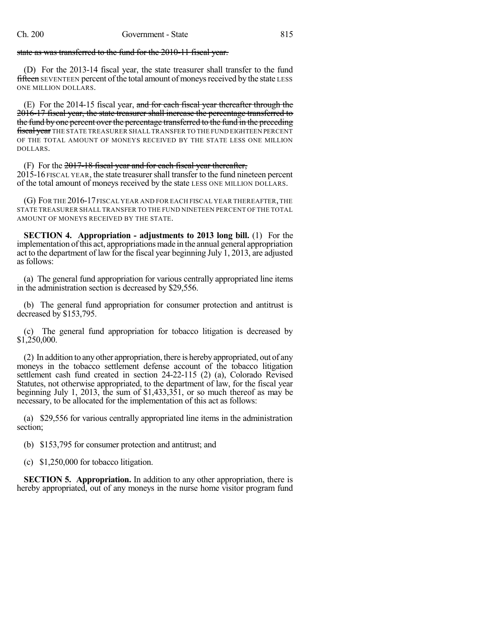state as was transferred to the fund for the 2010-11 fiscal year.

(D) For the 2013-14 fiscal year, the state treasurer shall transfer to the fund fifteen SEVENTEEN percent of the total amount of moneys received by the state LESS ONE MILLION DOLLARS.

(E) For the 2014-15 fiscal year, and for each fiscal year thereafter through the 2016-17 fiscal year, the state treasurer shall increase the percentage transferred to the fund by one percent over the percentage transferred to the fund in the preceding fiscal year THE STATE TREASURER SHALL TRANSFER TO THE FUND EIGHTEEN PERCENT OF THE TOTAL AMOUNT OF MONEYS RECEIVED BY THE STATE LESS ONE MILLION DOLLARS.

(F) For the  $2017-18$  fiscal year and for each fiscal year thereafter, 2015-16 FISCAL YEAR, the state treasurershall transfer to the fund nineteen percent of the total amount of moneys received by the state LESS ONE MILLION DOLLARS.

(G) FOR THE 2016-17FISCAL YEAR AND FOR EACH FISCAL YEAR THEREAFTER,THE STATE TREASURER SHALL TRANSFER TO THE FUND NINETEEN PERCENT OF THE TOTAL AMOUNT OF MONEYS RECEIVED BY THE STATE.

**SECTION 4. Appropriation - adjustments to 2013 long bill.** (1) For the implementation ofthis act, appropriations made in the annual general appropriation act to the department of law for the fiscal year beginning July 1, 2013, are adjusted as follows:

(a) The general fund appropriation for various centrally appropriated line items in the administration section is decreased by \$29,556.

(b) The general fund appropriation for consumer protection and antitrust is decreased by \$153,795.

(c) The general fund appropriation for tobacco litigation is decreased by \$1,250,000.

(2) In addition to anyother appropriation, there is herebyappropriated, out of any moneys in the tobacco settlement defense account of the tobacco litigation settlement cash fund created in section 24-22-115 (2) (a), Colorado Revised Statutes, not otherwise appropriated, to the department of law, for the fiscal year beginning July 1, 2013, the sum of \$1,433,351, or so much thereof as may be necessary, to be allocated for the implementation of this act as follows:

(a) \$29,556 for various centrally appropriated line items in the administration section;

(b) \$153,795 for consumer protection and antitrust; and

(c) \$1,250,000 for tobacco litigation.

**SECTION 5. Appropriation.** In addition to any other appropriation, there is hereby appropriated, out of any moneys in the nurse home visitor program fund